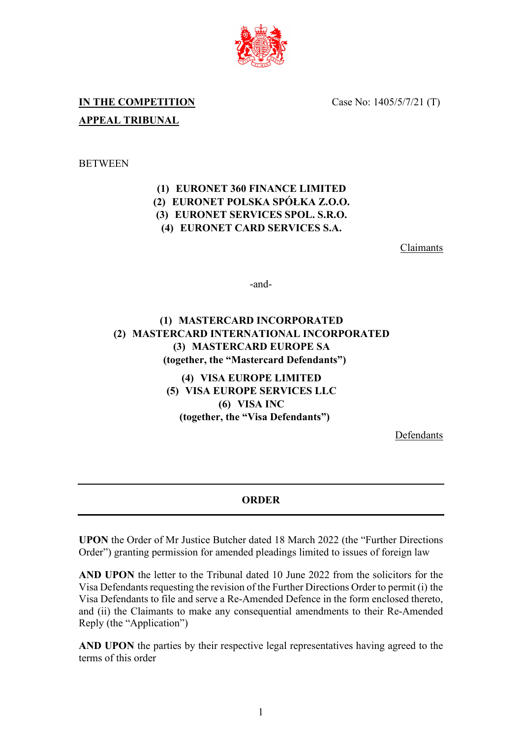

Case No: 1405/5/7/21 (T)

# **IN THE COMPETITION APPEAL TRIBUNAL**

### **BETWEEN**

### **(1) EURONET 360 FINANCE LIMITED (2) EURONET POLSKA SPÓŁKA Z.O.O. (3) EURONET SERVICES SPOL. S.R.O. (4) EURONET CARD SERVICES S.A.**

Claimants

-and-

## **(1) MASTERCARD INCORPORATED (2) MASTERCARD INTERNATIONAL INCORPORATED (3) MASTERCARD EUROPE SA (together, the "Mastercard Defendants")**

**(4) VISA EUROPE LIMITED (5) VISA EUROPE SERVICES LLC (6) VISA INC (together, the "Visa Defendants")**

Defendants

#### **ORDER**

**UPON** the Order of Mr Justice Butcher dated 18 March 2022 (the "Further Directions Order") granting permission for amended pleadings limited to issues of foreign law

**AND UPON** the letter to the Tribunal dated 10 June 2022 from the solicitors for the Visa Defendants requesting the revision of the Further Directions Order to permit (i) the Visa Defendants to file and serve a Re-Amended Defence in the form enclosed thereto, and (ii) the Claimants to make any consequential amendments to their Re-Amended Reply (the "Application")

**AND UPON** the parties by their respective legal representatives having agreed to the terms of this order